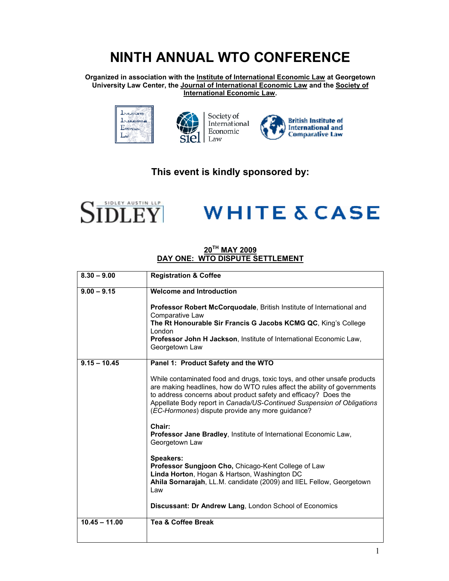## **NINTH ANNUAL WTO CONFERENCE**

**Organized in association with the Institute of International Economic Law at Georgetown University Law Center, the Journal of International Economic Law and the Society of International Economic Law.** 





Society of International Economic Law



### **This event is kindly sponsored by:**



# **WHITE & CASE**

### **20TH MAY 2009 DAY ONE: WTO DISPUTE SETTLEMENT**

| $8.30 - 9.00$   | <b>Registration &amp; Coffee</b>                                                                                                                                                                                                                                                                                                                      |
|-----------------|-------------------------------------------------------------------------------------------------------------------------------------------------------------------------------------------------------------------------------------------------------------------------------------------------------------------------------------------------------|
| $9.00 - 9.15$   | Welcome and Introduction                                                                                                                                                                                                                                                                                                                              |
|                 | Professor Robert McCorquodale, British Institute of International and<br>Comparative Law<br>The Rt Honourable Sir Francis G Jacobs KCMG QC, King's College                                                                                                                                                                                            |
|                 | London<br>Professor John H Jackson, Institute of International Economic Law,<br>Georgetown Law                                                                                                                                                                                                                                                        |
| $9.15 - 10.45$  | Panel 1: Product Safety and the WTO                                                                                                                                                                                                                                                                                                                   |
|                 | While contaminated food and drugs, toxic toys, and other unsafe products<br>are making headlines, how do WTO rules affect the ability of governments<br>to address concerns about product safety and efficacy? Does the<br>Appellate Body report in Canada/US-Continued Suspension of Obligations<br>(EC-Hormones) dispute provide any more guidance? |
|                 | Chair:<br>Professor Jane Bradley, Institute of International Economic Law,<br>Georgetown Law                                                                                                                                                                                                                                                          |
|                 | <b>Speakers:</b><br>Professor Sungjoon Cho, Chicago-Kent College of Law<br>Linda Horton, Hogan & Hartson, Washington DC<br>Ahila Sornarajah, LL.M. candidate (2009) and IIEL Fellow, Georgetown<br>Law                                                                                                                                                |
|                 | Discussant: Dr Andrew Lang, London School of Economics                                                                                                                                                                                                                                                                                                |
| $10.45 - 11.00$ | <b>Tea &amp; Coffee Break</b>                                                                                                                                                                                                                                                                                                                         |
|                 |                                                                                                                                                                                                                                                                                                                                                       |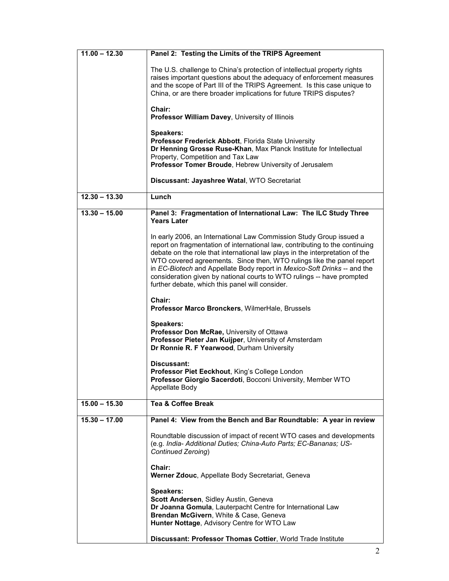| $11.00 - 12.30$ | Panel 2: Testing the Limits of the TRIPS Agreement                                                                                                                                                                                                                                                                                                                                                                                                                                                                    |
|-----------------|-----------------------------------------------------------------------------------------------------------------------------------------------------------------------------------------------------------------------------------------------------------------------------------------------------------------------------------------------------------------------------------------------------------------------------------------------------------------------------------------------------------------------|
|                 | The U.S. challenge to China's protection of intellectual property rights<br>raises important questions about the adequacy of enforcement measures<br>and the scope of Part III of the TRIPS Agreement. Is this case unique to<br>China, or are there broader implications for future TRIPS disputes?                                                                                                                                                                                                                  |
|                 | Chair:<br>Professor William Davey, University of Illinois                                                                                                                                                                                                                                                                                                                                                                                                                                                             |
|                 | Speakers:<br>Professor Frederick Abbott, Florida State University<br>Dr Henning Grosse Ruse-Khan, Max Planck Institute for Intellectual<br>Property, Competition and Tax Law<br>Professor Tomer Broude, Hebrew University of Jerusalem                                                                                                                                                                                                                                                                                |
|                 | Discussant: Jayashree Watal, WTO Secretariat                                                                                                                                                                                                                                                                                                                                                                                                                                                                          |
| $12.30 - 13.30$ | Lunch                                                                                                                                                                                                                                                                                                                                                                                                                                                                                                                 |
| $13.30 - 15.00$ | Panel 3: Fragmentation of International Law: The ILC Study Three<br><b>Years Later</b>                                                                                                                                                                                                                                                                                                                                                                                                                                |
|                 | In early 2006, an International Law Commission Study Group issued a<br>report on fragmentation of international law, contributing to the continuing<br>debate on the role that international law plays in the interpretation of the<br>WTO covered agreements. Since then, WTO rulings like the panel report<br>in EC-Biotech and Appellate Body report in Mexico-Soft Drinks -- and the<br>consideration given by national courts to WTO rulings -- have prompted<br>further debate, which this panel will consider. |
|                 | Chair:<br>Professor Marco Bronckers, WilmerHale, Brussels                                                                                                                                                                                                                                                                                                                                                                                                                                                             |
|                 | Speakers:<br>Professor Don McRae, University of Ottawa<br>Professor Pieter Jan Kuijper, University of Amsterdam<br>Dr Ronnie R. F Yearwood, Durham University                                                                                                                                                                                                                                                                                                                                                         |
|                 | Discussant:<br>Professor Piet Eeckhout, King's College London<br>Professor Giorgio Sacerdoti, Bocconi University, Member WTO<br>Appellate Body                                                                                                                                                                                                                                                                                                                                                                        |
| $15.00 - 15.30$ | <b>Tea &amp; Coffee Break</b>                                                                                                                                                                                                                                                                                                                                                                                                                                                                                         |
| $15.30 - 17.00$ | Panel 4: View from the Bench and Bar Roundtable: A year in review                                                                                                                                                                                                                                                                                                                                                                                                                                                     |
|                 | Roundtable discussion of impact of recent WTO cases and developments<br>(e.g. India- Additional Duties; China-Auto Parts; EC-Bananas; US-<br>Continued Zeroing)                                                                                                                                                                                                                                                                                                                                                       |
|                 | Chair:<br>Werner Zdouc, Appellate Body Secretariat, Geneva                                                                                                                                                                                                                                                                                                                                                                                                                                                            |
|                 | <b>Speakers:</b><br>Scott Andersen, Sidley Austin, Geneva<br>Dr Joanna Gomula, Lauterpacht Centre for International Law<br>Brendan McGivern, White & Case, Geneva<br>Hunter Nottage, Advisory Centre for WTO Law                                                                                                                                                                                                                                                                                                      |
|                 | Discussant: Professor Thomas Cottier, World Trade Institute                                                                                                                                                                                                                                                                                                                                                                                                                                                           |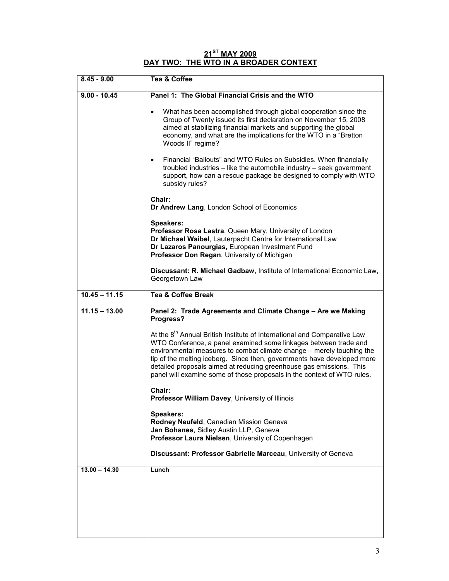#### **21ST MAY 2009 DAY TWO: THE WTO IN A BROADER CONTEXT**

| $8.45 - 9.00$   | Tea & Coffee                                                                                                                                                                                                                                                                                                                                                                                                                                                   |
|-----------------|----------------------------------------------------------------------------------------------------------------------------------------------------------------------------------------------------------------------------------------------------------------------------------------------------------------------------------------------------------------------------------------------------------------------------------------------------------------|
| $9.00 - 10.45$  | Panel 1: The Global Financial Crisis and the WTO                                                                                                                                                                                                                                                                                                                                                                                                               |
|                 | What has been accomplished through global cooperation since the<br>$\bullet$<br>Group of Twenty issued its first declaration on November 15, 2008<br>aimed at stabilizing financial markets and supporting the global<br>economy, and what are the implications for the WTO in a "Bretton"<br>Woods II" regime?                                                                                                                                                |
|                 | Financial "Bailouts" and WTO Rules on Subsidies. When financially<br>$\bullet$<br>troubled industries – like the automobile industry – seek government<br>support, how can a rescue package be designed to comply with WTO<br>subsidy rules?                                                                                                                                                                                                                   |
|                 | Chair:<br>Dr Andrew Lang, London School of Economics                                                                                                                                                                                                                                                                                                                                                                                                           |
|                 | Speakers:<br>Professor Rosa Lastra, Queen Mary, University of London<br>Dr Michael Waibel, Lauterpacht Centre for International Law<br>Dr Lazaros Panourgias, European Investment Fund<br>Professor Don Regan, University of Michigan                                                                                                                                                                                                                          |
|                 | Discussant: R. Michael Gadbaw, Institute of International Economic Law,<br>Georgetown Law                                                                                                                                                                                                                                                                                                                                                                      |
| $10.45 - 11.15$ | <b>Tea &amp; Coffee Break</b>                                                                                                                                                                                                                                                                                                                                                                                                                                  |
| $11.15 - 13.00$ | Panel 2: Trade Agreements and Climate Change - Are we Making<br>Progress?                                                                                                                                                                                                                                                                                                                                                                                      |
|                 | At the 8 <sup>th</sup> Annual British Institute of International and Comparative Law<br>WTO Conference, a panel examined some linkages between trade and<br>environmental measures to combat climate change - merely touching the<br>tip of the melting iceberg. Since then, governments have developed more<br>detailed proposals aimed at reducing greenhouse gas emissions. This<br>panel will examine some of those proposals in the context of WTO rules. |
|                 | Chair:<br>Professor William Davey, University of Illinois                                                                                                                                                                                                                                                                                                                                                                                                      |
|                 | Speakers:<br>Rodney Neufeld, Canadian Mission Geneva<br>Jan Bohanes, Sidley Austin LLP, Geneva<br>Professor Laura Nielsen, University of Copenhagen                                                                                                                                                                                                                                                                                                            |
|                 | Discussant: Professor Gabrielle Marceau, University of Geneva                                                                                                                                                                                                                                                                                                                                                                                                  |
| $13.00 - 14.30$ | Lunch                                                                                                                                                                                                                                                                                                                                                                                                                                                          |
|                 |                                                                                                                                                                                                                                                                                                                                                                                                                                                                |
|                 |                                                                                                                                                                                                                                                                                                                                                                                                                                                                |
|                 |                                                                                                                                                                                                                                                                                                                                                                                                                                                                |